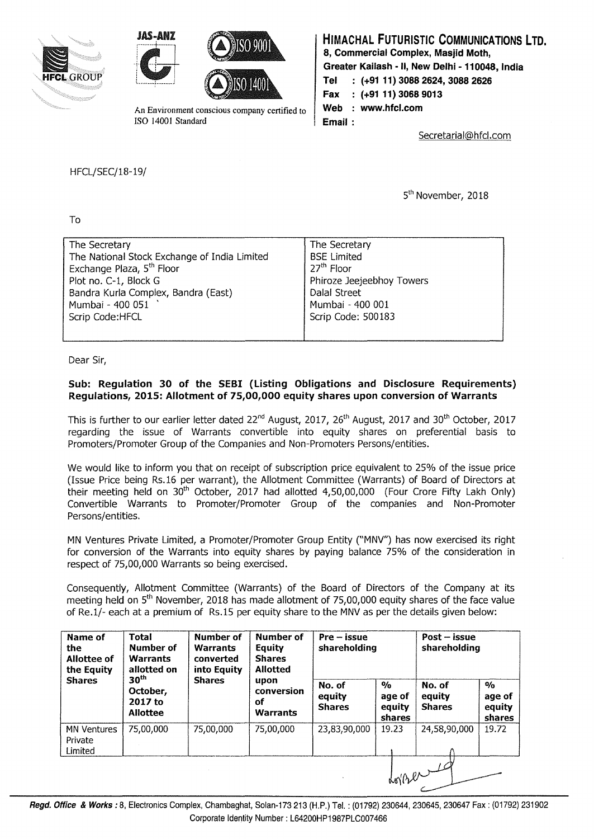





An Environment conscious company certified to **Web** : www.hfcl.com ISO 14001 Standard 1 **Email** :

## **HIMACHAL FUTURISTIC COMMUNICATIONS LTD. 8, Commercial Complex, Masjid Moth, Greater Kailash - II, New Delhi - 110048, India Tel : (+91 11) 3088 2624, 3088 2626 Fax (+91 11) 3068 9013**

Secretarial@hfcl.com

HFCL/SEC/18-19/

5<sup>th</sup> November, 2018

To

| The Secretary                                | The Secretary             |
|----------------------------------------------|---------------------------|
| The National Stock Exchange of India Limited | <b>BSE Limited</b>        |
| Exchange Plaza, 5 <sup>th</sup> Floor        | 27 <sup>th</sup> Floor    |
| Plot no. C-1, Block G                        | Phiroze Jeejeebhoy Towers |
| Bandra Kurla Complex, Bandra (East)          | Dalal Street              |
| Mumbai - 400 051                             | Mumbai - 400 001          |
| Scrip Code:HFCL                              | Scrip Code: 500183        |
|                                              |                           |

Dear Sir,

## **Sub: Regulation 30 of the SEBI (Listing Obligations and Disclosure Requirements) Regulations, 2015: Allotment of 75,00,000 equity shares upon conversion of Warrants**

This is further to our earlier letter dated 22<sup>nd</sup> August, 2017, 26<sup>th</sup> August, 2017 and 30<sup>th</sup> October, 2017 regarding the issue of Warrants convertible into equity shares on preferential basis to Promoters/Promoter Group of the Companies and Non-Promoters Persons/entities.

We would like to inform you that on receipt of subscription price equivalent to 25% of the issue price (Issue Price being Rs.16 per warrant), the Allotment Committee (Warrants) of Board of Directors at their meeting held on  $30<sup>th</sup>$  October, 2017 had allotted 4,50,00,000 (Four Crore Fifty Lakh Only) Convertible Warrants to Promoter/Promoter Group of the companies and Non-Promoter Persons/entities.

MN Ventures Private Limited, a Promoter/Promoter Group Entity ("MNV") has now exercised its right for conversion of the Warrants into equity shares by paying balance 75% of the consideration in respect of 75,00,000 Warrants so being exercised.

Consequently, Allotment Committee (Warrants) of the Board of Directors of the Company at its meeting held on 5<sup>th</sup> November, 2018 has made allotment of 75,00,000 equity shares of the face value of Re.1/- each at a premium of Rs.15 per equity share to the MNV as per the details given below:

| Name of<br>the<br>Allottee of<br>the Equity<br><b>Shares</b> | <b>Total</b><br>Number of<br><b>Warrants</b><br>allotted on<br>30 <sup>th</sup><br>October,<br>2017 to<br><b>Allottee</b> | Number of<br><b>Warrants</b><br>converted<br>into Equity<br><b>Shares</b> | Number of<br>Equity<br><b>Shares</b><br><b>Allotted</b><br>upon<br>conversion<br>оf<br><b>Warrants</b> | $Pre - issue$<br>shareholding     |                                                    | $Post - issue$<br>shareholding    |                                             |
|--------------------------------------------------------------|---------------------------------------------------------------------------------------------------------------------------|---------------------------------------------------------------------------|--------------------------------------------------------------------------------------------------------|-----------------------------------|----------------------------------------------------|-----------------------------------|---------------------------------------------|
|                                                              |                                                                                                                           |                                                                           |                                                                                                        | No. of<br>equity<br><b>Shares</b> | $\frac{1}{2}$<br>age of<br>equity<br><b>shares</b> | No. of<br>equity<br><b>Shares</b> | $\frac{1}{2}$<br>age of<br>equity<br>shares |
| <b>MN Ventures</b><br>Private<br>Limited                     | 75,00,000                                                                                                                 | 75,00,000                                                                 | 75,00,000                                                                                              | 23,83,90,000                      | 19.23                                              | 24,58,90,000                      | 19.72                                       |
|                                                              |                                                                                                                           |                                                                           |                                                                                                        |                                   |                                                    | dorper                            |                                             |